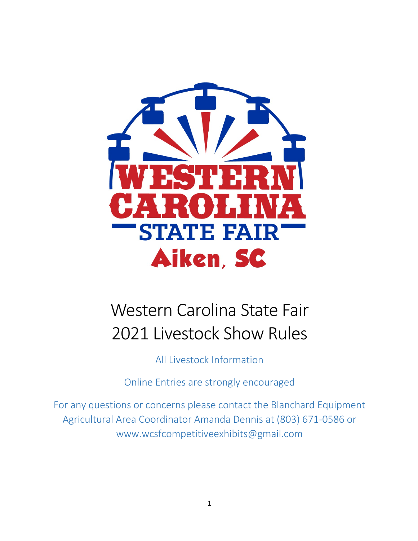

# Western Carolina State Fair 2021 Livestock Show Rules

All Livestock Information

Online Entries are strongly encouraged

For any questions or concerns please contact the Blanchard Equipment Agricultural Area Coordinator Amanda Dennis at (803) 671-0586 or www.wcsfcompetitiveexhibits@gmail.com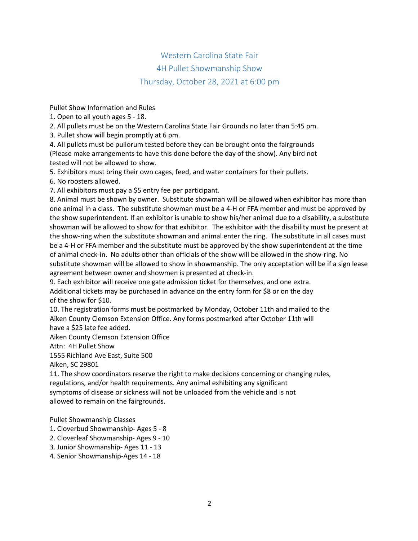## Western Carolina State Fair 4H Pullet Showmanship Show Thursday, October 28, 2021 at 6:00 pm

Pullet Show Information and Rules

1. Open to all youth ages 5 - 18.

2. All pullets must be on the Western Carolina State Fair Grounds no later than 5:45 pm.

3. Pullet show will begin promptly at 6 pm.

4. All pullets must be pullorum tested before they can be brought onto the fairgrounds (Please make arrangements to have this done before the day of the show). Any bird not tested will not be allowed to show.

5. Exhibitors must bring their own cages, feed, and water containers for their pullets.

6. No roosters allowed.

7. All exhibitors must pay a \$5 entry fee per participant.

8. Animal must be shown by owner. Substitute showman will be allowed when exhibitor has more than one animal in a class. The substitute showman must be a 4-H or FFA member and must be approved by the show superintendent. If an exhibitor is unable to show his/her animal due to a disability, a substitute showman will be allowed to show for that exhibitor. The exhibitor with the disability must be present at the show-ring when the substitute showman and animal enter the ring. The substitute in all cases must be a 4-H or FFA member and the substitute must be approved by the show superintendent at the time of animal check-in. No adults other than officials of the show will be allowed in the show-ring. No substitute showman will be allowed to show in showmanship. The only acceptation will be if a sign lease agreement between owner and showmen is presented at check-in.

9. Each exhibitor will receive one gate admission ticket for themselves, and one extra.

Additional tickets may be purchased in advance on the entry form for \$8 or on the day of the show for \$10.

10. The registration forms must be postmarked by Monday, October 11th and mailed to the Aiken County Clemson Extension Office. Any forms postmarked after October 11th will have a \$25 late fee added.

Aiken County Clemson Extension Office

Attn: 4H Pullet Show

1555 Richland Ave East, Suite 500

Aiken, SC 29801

11. The show coordinators reserve the right to make decisions concerning or changing rules, regulations, and/or health requirements. Any animal exhibiting any significant symptoms of disease or sickness will not be unloaded from the vehicle and is not allowed to remain on the fairgrounds.

Pullet Showmanship Classes

- 1. Cloverbud Showmanship- Ages 5 8
- 2. Cloverleaf Showmanship- Ages 9 10
- 3. Junior Showmanship- Ages 11 13
- 4. Senior Showmanship-Ages 14 18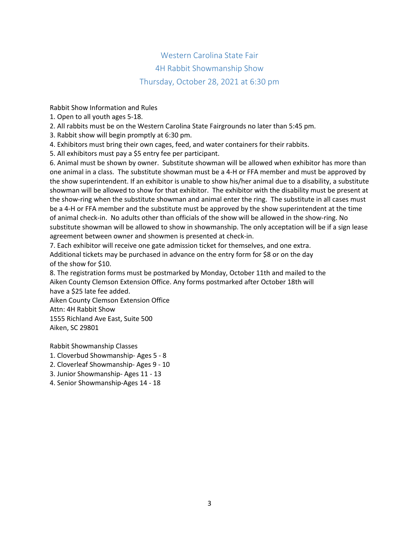## Western Carolina State Fair 4H Rabbit Showmanship Show Thursday, October 28, 2021 at 6:30 pm

Rabbit Show Information and Rules

1. Open to all youth ages 5-18.

2. All rabbits must be on the Western Carolina State Fairgrounds no later than 5:45 pm.

3. Rabbit show will begin promptly at 6:30 pm.

4. Exhibitors must bring their own cages, feed, and water containers for their rabbits.

5. All exhibitors must pay a \$5 entry fee per participant.

6. Animal must be shown by owner. Substitute showman will be allowed when exhibitor has more than one animal in a class. The substitute showman must be a 4-H or FFA member and must be approved by the show superintendent. If an exhibitor is unable to show his/her animal due to a disability, a substitute showman will be allowed to show for that exhibitor. The exhibitor with the disability must be present at the show-ring when the substitute showman and animal enter the ring. The substitute in all cases must be a 4-H or FFA member and the substitute must be approved by the show superintendent at the time of animal check-in. No adults other than officials of the show will be allowed in the show-ring. No substitute showman will be allowed to show in showmanship. The only acceptation will be if a sign lease agreement between owner and showmen is presented at check-in.

7. Each exhibitor will receive one gate admission ticket for themselves, and one extra. Additional tickets may be purchased in advance on the entry form for \$8 or on the day of the show for \$10.

8. The registration forms must be postmarked by Monday, October 11th and mailed to the Aiken County Clemson Extension Office. Any forms postmarked after October 18th will

have a \$25 late fee added. Aiken County Clemson Extension Office Attn: 4H Rabbit Show 1555 Richland Ave East, Suite 500 Aiken, SC 29801

Rabbit Showmanship Classes

- 1. Cloverbud Showmanship- Ages 5 8
- 2. Cloverleaf Showmanship- Ages 9 10
- 3. Junior Showmanship- Ages 11 13
- 4. Senior Showmanship-Ages 14 18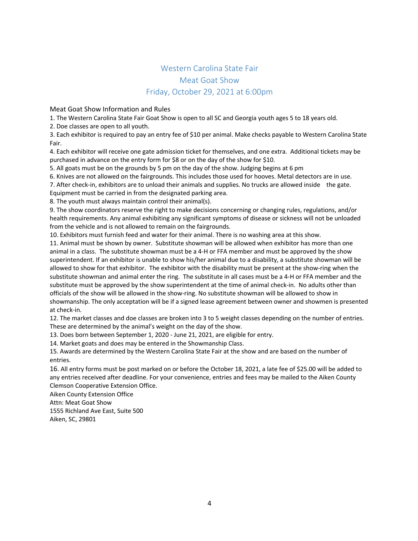#### Western Carolina State Fair Meat Goat Show Friday, October 29, 2021 at 6:00pm

Meat Goat Show Information and Rules

1. The Western Carolina State Fair Goat Show is open to all SC and Georgia youth ages 5 to 18 years old.

2. Doe classes are open to all youth.

3. Each exhibitor is required to pay an entry fee of \$10 per animal. Make checks payable to Western Carolina State Fair.

4. Each exhibitor will receive one gate admission ticket for themselves, and one extra. Additional tickets may be purchased in advance on the entry form for \$8 or on the day of the show for \$10.

5. All goats must be on the grounds by 5 pm on the day of the show. Judging begins at 6 pm

6. Knives are not allowed on the fairgrounds. This includes those used for hooves. Metal detectors are in use.

7. After check-in, exhibitors are to unload their animals and supplies. No trucks are allowed inside the gate.

Equipment must be carried in from the designated parking area.

8. The youth must always maintain control their animal(s).

9. The show coordinators reserve the right to make decisions concerning or changing rules, regulations, and/or health requirements. Any animal exhibiting any significant symptoms of disease or sickness will not be unloaded from the vehicle and is not allowed to remain on the fairgrounds.

10. Exhibitors must furnish feed and water for their animal. There is no washing area at this show.

11. Animal must be shown by owner. Substitute showman will be allowed when exhibitor has more than one animal in a class. The substitute showman must be a 4-H or FFA member and must be approved by the show superintendent. If an exhibitor is unable to show his/her animal due to a disability, a substitute showman will be allowed to show for that exhibitor. The exhibitor with the disability must be present at the show-ring when the substitute showman and animal enter the ring. The substitute in all cases must be a 4-H or FFA member and the substitute must be approved by the show superintendent at the time of animal check-in. No adults other than officials of the show will be allowed in the show-ring. No substitute showman will be allowed to show in showmanship. The only acceptation will be if a signed lease agreement between owner and showmen is presented at check-in.

12. The market classes and doe classes are broken into 3 to 5 weight classes depending on the number of entries. These are determined by the animal's weight on the day of the show.

13. Does born between September 1, 2020 - June 21, 2021, are eligible for entry.

14. Market goats and does may be entered in the Showmanship Class.

15. Awards are determined by the Western Carolina State Fair at the show and are based on the number of entries.

16. All entry forms must be post marked on or before the October 18, 2021, a late fee of \$25.00 will be added to any entries received after deadline. For your convenience, entries and fees may be mailed to the Aiken County Clemson Cooperative Extension Office.

Aiken County Extension Office

Attn: Meat Goat Show

1555 Richland Ave East, Suite 500 Aiken, SC, 29801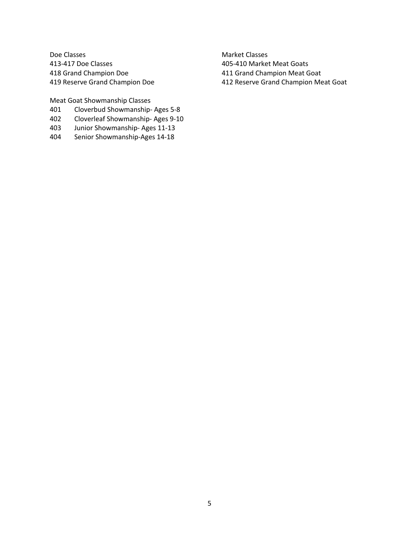Doe Classes 413-417 Doe Classes 418 Grand Champion Doe 419 Reserve Grand Champion Doe

Meat Goat Showmanship Classes

- 401 Cloverbud Showmanship- Ages 5-8
- 402 Cloverleaf Showmanship- Ages 9-10
- 403 Junior Showmanship- Ages 11-13
- 404 Senior Showmanship-Ages 14-18

Market Classes 405-410 Market Meat Goats 411 Grand Champion Meat Goat 412 Reserve Grand Champion Meat Goat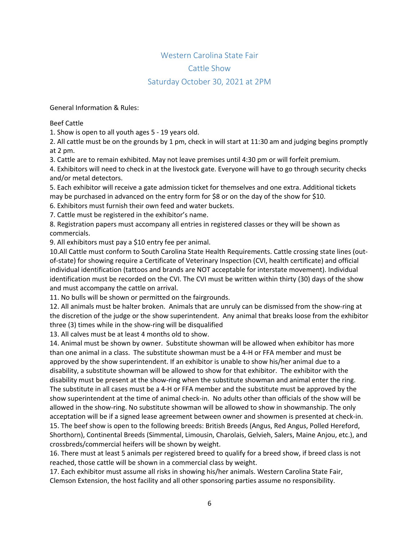#### Western Carolina State Fair Cattle Show Saturday October 30, 2021 at 2PM

General Information & Rules:

Beef Cattle

1. Show is open to all youth ages 5 - 19 years old.

2. All cattle must be on the grounds by 1 pm, check in will start at 11:30 am and judging begins promptly at 2 pm.

3. Cattle are to remain exhibited. May not leave premises until 4:30 pm or will forfeit premium.

4. Exhibitors will need to check in at the livestock gate. Everyone will have to go through security checks and/or metal detectors.

5. Each exhibitor will receive a gate admission ticket for themselves and one extra. Additional tickets may be purchased in advanced on the entry form for \$8 or on the day of the show for \$10.

6. Exhibitors must furnish their own feed and water buckets.

7. Cattle must be registered in the exhibitor's name.

8. Registration papers must accompany all entries in registered classes or they will be shown as commercials.

9. All exhibitors must pay a \$10 entry fee per animal.

10.All Cattle must conform to South Carolina State Health Requirements. Cattle crossing state lines (outof-state) for showing require a Certificate of Veterinary Inspection (CVI, health certificate) and official individual identification (tattoos and brands are NOT acceptable for interstate movement). Individual identification must be recorded on the CVI. The CVI must be written within thirty (30) days of the show and must accompany the cattle on arrival.

11. No bulls will be shown or permitted on the fairgrounds.

12. All animals must be halter broken. Animals that are unruly can be dismissed from the show-ring at the discretion of the judge or the show superintendent. Any animal that breaks loose from the exhibitor three (3) times while in the show-ring will be disqualified

13. All calves must be at least 4 months old to show.

14. Animal must be shown by owner. Substitute showman will be allowed when exhibitor has more than one animal in a class. The substitute showman must be a 4-H or FFA member and must be approved by the show superintendent. If an exhibitor is unable to show his/her animal due to a disability, a substitute showman will be allowed to show for that exhibitor. The exhibitor with the disability must be present at the show-ring when the substitute showman and animal enter the ring. The substitute in all cases must be a 4-H or FFA member and the substitute must be approved by the show superintendent at the time of animal check-in. No adults other than officials of the show will be allowed in the show-ring. No substitute showman will be allowed to show in showmanship. The only acceptation will be if a signed lease agreement between owner and showmen is presented at check-in. 15. The beef show is open to the following breeds: British Breeds (Angus, Red Angus, Polled Hereford, Shorthorn), Continental Breeds (Simmental, Limousin, Charolais, Gelvieh, Salers, Maine Anjou, etc.), and crossbreds/commercial heifers will be shown by weight.

16. There must at least 5 animals per registered breed to qualify for a breed show, if breed class is not reached, those cattle will be shown in a commercial class by weight.

17. Each exhibitor must assume all risks in showing his/her animals. Western Carolina State Fair, Clemson Extension, the host facility and all other sponsoring parties assume no responsibility.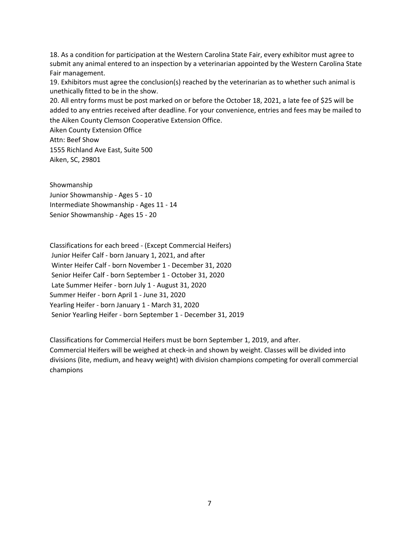18. As a condition for participation at the Western Carolina State Fair, every exhibitor must agree to submit any animal entered to an inspection by a veterinarian appointed by the Western Carolina State Fair management.

19. Exhibitors must agree the conclusion(s) reached by the veterinarian as to whether such animal is unethically fitted to be in the show.

20. All entry forms must be post marked on or before the October 18, 2021, a late fee of \$25 will be added to any entries received after deadline. For your convenience, entries and fees may be mailed to the Aiken County Clemson Cooperative Extension Office.

Aiken County Extension Office Attn: Beef Show 1555 Richland Ave East, Suite 500 Aiken, SC, 29801

Showmanship Junior Showmanship - Ages 5 - 10 Intermediate Showmanship - Ages 11 - 14 Senior Showmanship - Ages 15 - 20

Classifications for each breed - (Except Commercial Heifers) Junior Heifer Calf - born January 1, 2021, and after Winter Heifer Calf - born November 1 - December 31, 2020 Senior Heifer Calf - born September 1 - October 31, 2020 Late Summer Heifer - born July 1 - August 31, 2020 Summer Heifer - born April 1 - June 31, 2020 Yearling Heifer - born January 1 - March 31, 2020 Senior Yearling Heifer - born September 1 - December 31, 2019

Classifications for Commercial Heifers must be born September 1, 2019, and after. Commercial Heifers will be weighed at check-in and shown by weight. Classes will be divided into divisions (lite, medium, and heavy weight) with division champions competing for overall commercial champions